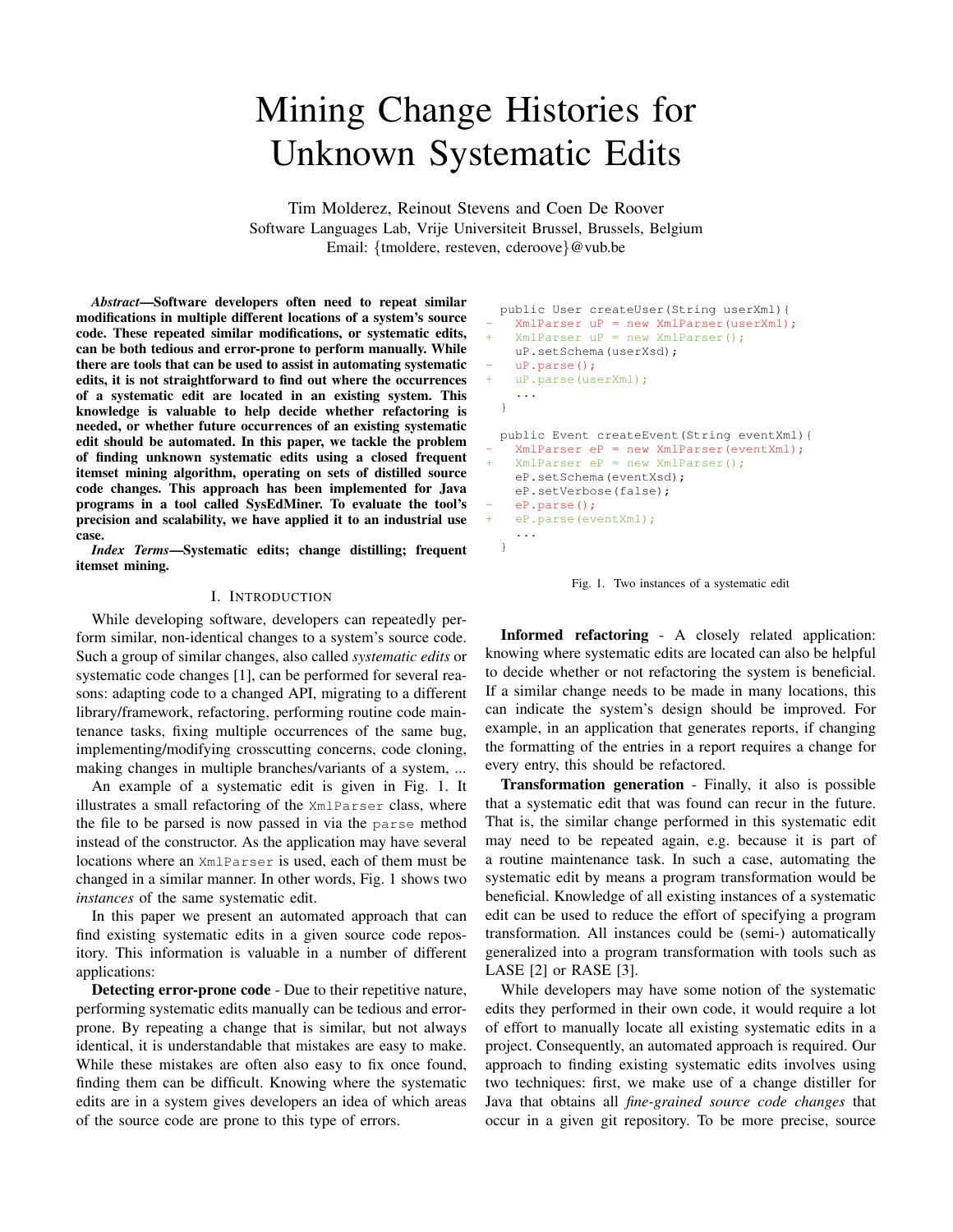# Mining Change Histories for Unknown Systematic Edits

Tim Molderez, Reinout Stevens and Coen De Roover Software Languages Lab, Vrije Universiteit Brussel, Brussels, Belgium Email: {tmoldere, resteven, cderoove}@vub.be

*Abstract*—Software developers often need to repeat similar modifications in multiple different locations of a system's source code. These repeated similar modifications, or systematic edits, can be both tedious and error-prone to perform manually. While there are tools that can be used to assist in automating systematic edits, it is not straightforward to find out where the occurrences of a systematic edit are located in an existing system. This knowledge is valuable to help decide whether refactoring is needed, or whether future occurrences of an existing systematic edit should be automated. In this paper, we tackle the problem of finding unknown systematic edits using a closed frequent itemset mining algorithm, operating on sets of distilled source code changes. This approach has been implemented for Java programs in a tool called SysEdMiner. To evaluate the tool's precision and scalability, we have applied it to an industrial use case.

*Index Terms*—Systematic edits; change distilling; frequent itemset mining.

#### I. INTRODUCTION

While developing software, developers can repeatedly perform similar, non-identical changes to a system's source code. Such a group of similar changes, also called *systematic edits* or systematic code changes [1], can be performed for several reasons: adapting code to a changed API, migrating to a different library/framework, refactoring, performing routine code maintenance tasks, fixing multiple occurrences of the same bug, implementing/modifying crosscutting concerns, code cloning, making changes in multiple branches/variants of a system, ...

An example of a systematic edit is given in Fig. 1. It illustrates a small refactoring of the XmlParser class, where the file to be parsed is now passed in via the parse method instead of the constructor. As the application may have several locations where an XmlParser is used, each of them must be changed in a similar manner. In other words, Fig. 1 shows two *instances* of the same systematic edit.

In this paper we present an automated approach that can find existing systematic edits in a given source code repository. This information is valuable in a number of different applications:

Detecting error-prone code - Due to their repetitive nature, performing systematic edits manually can be tedious and errorprone. By repeating a change that is similar, but not always identical, it is understandable that mistakes are easy to make. While these mistakes are often also easy to fix once found, finding them can be difficult. Knowing where the systematic edits are in a system gives developers an idea of which areas of the source code are prone to this type of errors.

```
public User createUser(String userXml){
   XmlParser uP = new XmlParser (userXml);
+ XmlParser uP = new XmlParser();
   uP.setSchema(userXsd);
   uP.parse();
   uP.parse(userXml);
    ...
 }
 public Event createEvent(String eventXml){
   XmlParser eP = new XMLParser(eventXml);XmlParser eP = new XMLParser();eP.setSchema(eventXsd);
   eP.setVerbose(false);
   eP.parse();
+ eP.parse(eventXml);
    ...
 }
```
Fig. 1. Two instances of a systematic edit

Informed refactoring - A closely related application: knowing where systematic edits are located can also be helpful to decide whether or not refactoring the system is beneficial. If a similar change needs to be made in many locations, this can indicate the system's design should be improved. For example, in an application that generates reports, if changing the formatting of the entries in a report requires a change for every entry, this should be refactored.

Transformation generation - Finally, it also is possible that a systematic edit that was found can recur in the future. That is, the similar change performed in this systematic edit may need to be repeated again, e.g. because it is part of a routine maintenance task. In such a case, automating the systematic edit by means a program transformation would be beneficial. Knowledge of all existing instances of a systematic edit can be used to reduce the effort of specifying a program transformation. All instances could be (semi-) automatically generalized into a program transformation with tools such as LASE [2] or RASE [3].

While developers may have some notion of the systematic edits they performed in their own code, it would require a lot of effort to manually locate all existing systematic edits in a project. Consequently, an automated approach is required. Our approach to finding existing systematic edits involves using two techniques: first, we make use of a change distiller for Java that obtains all *fine-grained source code changes* that occur in a given git repository. To be more precise, source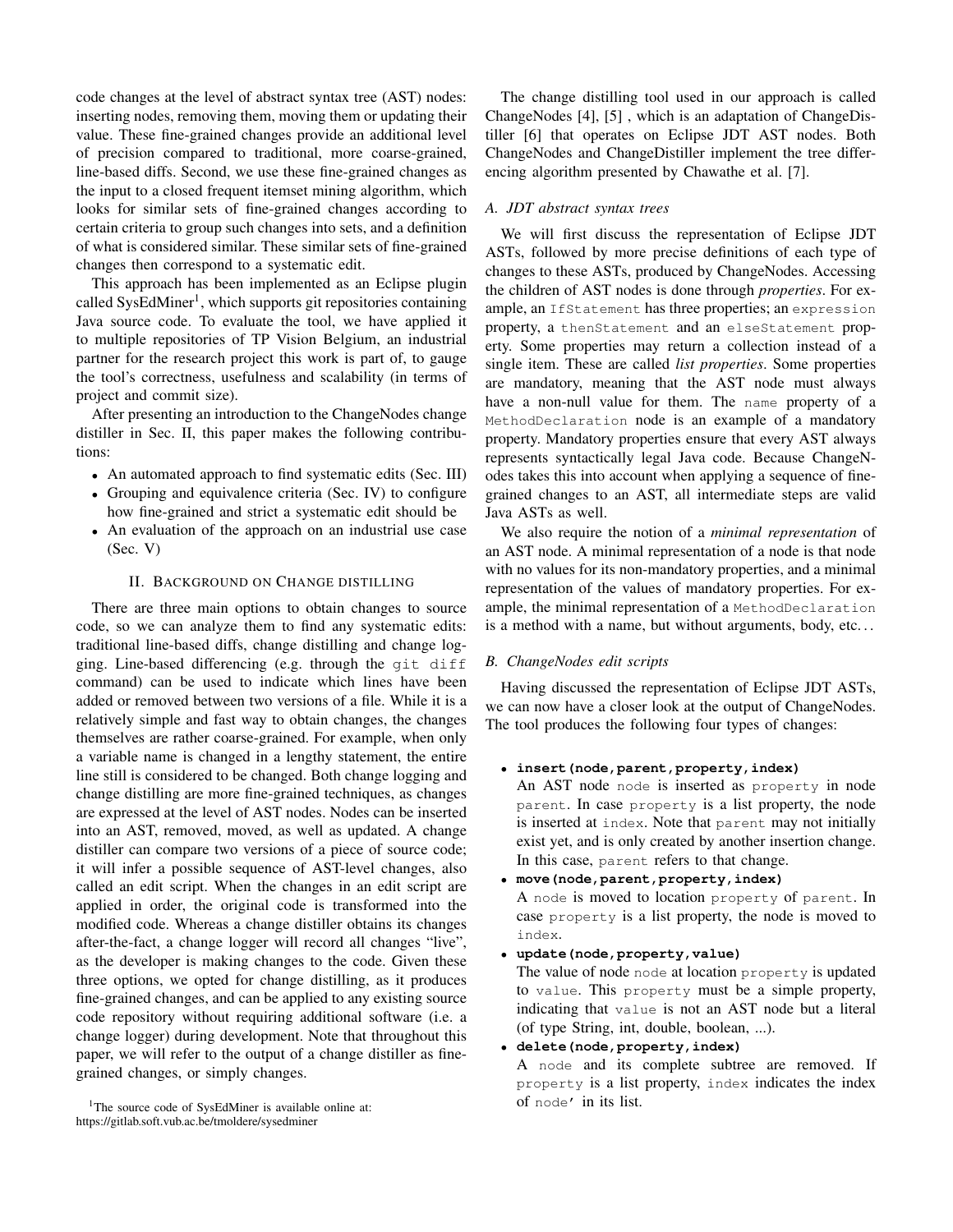code changes at the level of abstract syntax tree (AST) nodes: inserting nodes, removing them, moving them or updating their value. These fine-grained changes provide an additional level of precision compared to traditional, more coarse-grained, line-based diffs. Second, we use these fine-grained changes as the input to a closed frequent itemset mining algorithm, which looks for similar sets of fine-grained changes according to certain criteria to group such changes into sets, and a definition of what is considered similar. These similar sets of fine-grained changes then correspond to a systematic edit.

This approach has been implemented as an Eclipse plugin called SysEdMiner<sup>1</sup>, which supports git repositories containing Java source code. To evaluate the tool, we have applied it to multiple repositories of TP Vision Belgium, an industrial partner for the research project this work is part of, to gauge the tool's correctness, usefulness and scalability (in terms of project and commit size).

After presenting an introduction to the ChangeNodes change distiller in Sec. II, this paper makes the following contributions:

- An automated approach to find systematic edits (Sec. III)
- Grouping and equivalence criteria (Sec. IV) to configure how fine-grained and strict a systematic edit should be
- An evaluation of the approach on an industrial use case (Sec. V)

# II. BACKGROUND ON CHANGE DISTILLING

There are three main options to obtain changes to source code, so we can analyze them to find any systematic edits: traditional line-based diffs, change distilling and change logging. Line-based differencing (e.g. through the git diff command) can be used to indicate which lines have been added or removed between two versions of a file. While it is a relatively simple and fast way to obtain changes, the changes themselves are rather coarse-grained. For example, when only a variable name is changed in a lengthy statement, the entire line still is considered to be changed. Both change logging and change distilling are more fine-grained techniques, as changes are expressed at the level of AST nodes. Nodes can be inserted into an AST, removed, moved, as well as updated. A change distiller can compare two versions of a piece of source code; it will infer a possible sequence of AST-level changes, also called an edit script. When the changes in an edit script are applied in order, the original code is transformed into the modified code. Whereas a change distiller obtains its changes after-the-fact, a change logger will record all changes "live", as the developer is making changes to the code. Given these three options, we opted for change distilling, as it produces fine-grained changes, and can be applied to any existing source code repository without requiring additional software (i.e. a change logger) during development. Note that throughout this paper, we will refer to the output of a change distiller as finegrained changes, or simply changes.

<sup>1</sup>The source code of SysEdMiner is available online at: https://gitlab.soft.vub.ac.be/tmoldere/sysedminer

The change distilling tool used in our approach is called ChangeNodes [4], [5] , which is an adaptation of ChangeDistiller [6] that operates on Eclipse JDT AST nodes. Both ChangeNodes and ChangeDistiller implement the tree differencing algorithm presented by Chawathe et al. [7].

#### *A. JDT abstract syntax trees*

We will first discuss the representation of Eclipse JDT ASTs, followed by more precise definitions of each type of changes to these ASTs, produced by ChangeNodes. Accessing the children of AST nodes is done through *properties*. For example, an IfStatement has three properties; an expression property, a thenStatement and an elseStatement property. Some properties may return a collection instead of a single item. These are called *list properties*. Some properties are mandatory, meaning that the AST node must always have a non-null value for them. The name property of a MethodDeclaration node is an example of a mandatory property. Mandatory properties ensure that every AST always represents syntactically legal Java code. Because ChangeNodes takes this into account when applying a sequence of finegrained changes to an AST, all intermediate steps are valid Java ASTs as well.

We also require the notion of a *minimal representation* of an AST node. A minimal representation of a node is that node with no values for its non-mandatory properties, and a minimal representation of the values of mandatory properties. For example, the minimal representation of a MethodDeclaration is a method with a name, but without arguments, body, etc. . .

## *B. ChangeNodes edit scripts*

Having discussed the representation of Eclipse JDT ASTs, we can now have a closer look at the output of ChangeNodes. The tool produces the following four types of changes:

# • **insert(node,parent,property,index)**

An AST node node is inserted as property in node parent. In case property is a list property, the node is inserted at index. Note that parent may not initially exist yet, and is only created by another insertion change. In this case, parent refers to that change.

- **move(node,parent,property,index)** A node is moved to location property of parent. In case property is a list property, the node is moved to index.
- **update(node,property,value)**

The value of node node at location property is updated to value. This property must be a simple property, indicating that value is not an AST node but a literal (of type String, int, double, boolean, ...).

• **delete(node,property,index)**

A node and its complete subtree are removed. If property is a list property, index indicates the index of node' in its list.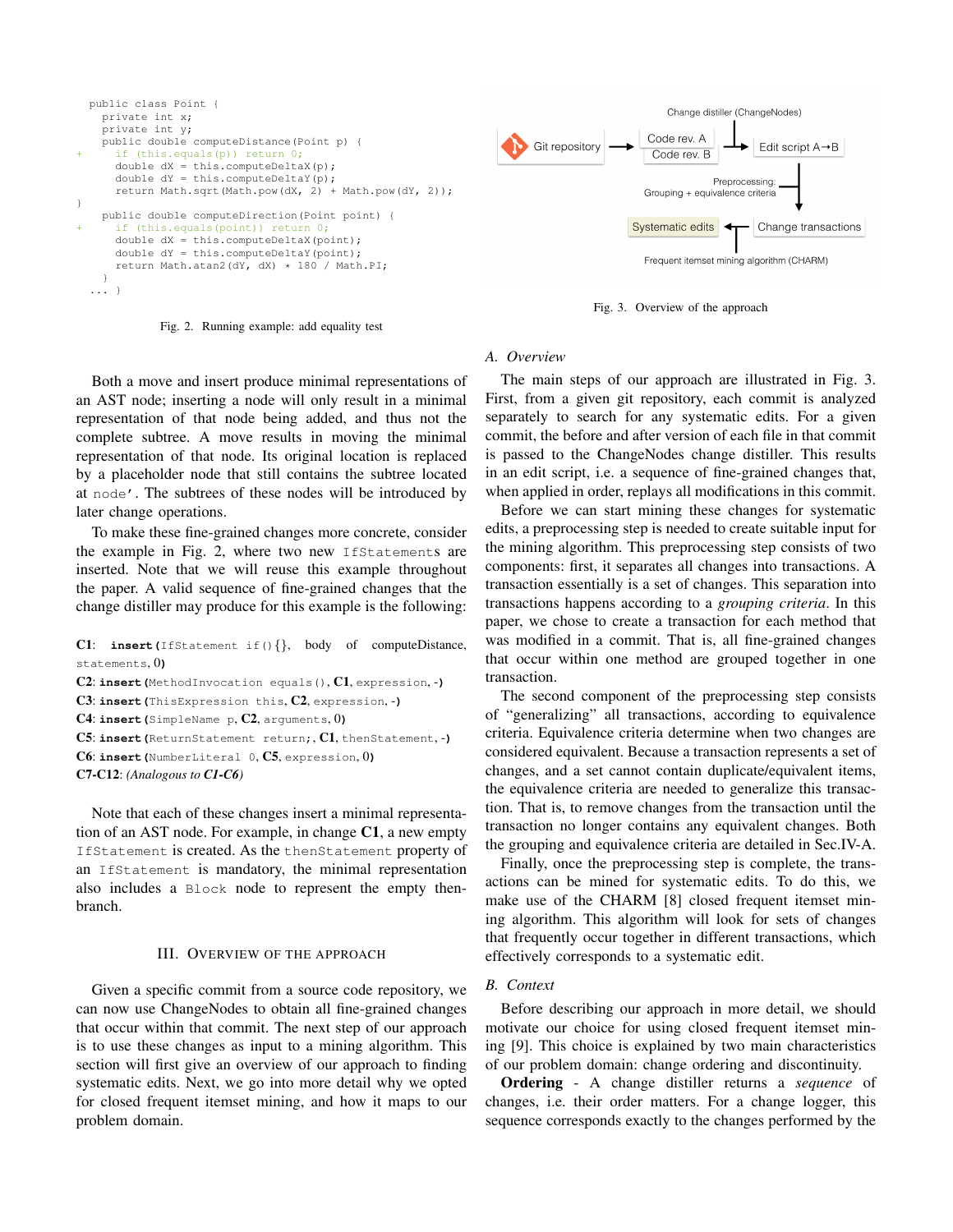```
public class Point {
   private int x;
   private int y;
   public double computeDistance(Point p) {
     if (this.equals(p)) return 0;
     double dX = this. computeDeltaX(p);
     double dY = this.computeDeltaY(p);
     return Math.sqrt(Math.pow(dX, 2) + Math.pow(dY, 2));
}
   public double computeDirection(Point point) {
     if (this.equals(point)) return 0;
     double dX = this.computeDeltaX(point);
     double dY = this.computeDeltaY(point);
     return Math.atan2(dY, dX) * 180 / Math.PI;
    }
  ... }
```
Fig. 2. Running example: add equality test

Both a move and insert produce minimal representations of an AST node; inserting a node will only result in a minimal representation of that node being added, and thus not the complete subtree. A move results in moving the minimal representation of that node. Its original location is replaced by a placeholder node that still contains the subtree located at node'. The subtrees of these nodes will be introduced by later change operations.

To make these fine-grained changes more concrete, consider the example in Fig. 2, where two new IfStatements are inserted. Note that we will reuse this example throughout the paper. A valid sequence of fine-grained changes that the change distiller may produce for this example is the following:

C1: **insert(**IfStatement if(){}, body of computeDistance, statements, 0**)**

```
C2: insert(MethodInvocation equals(), C1, expression, -)
C3: insert(ThisExpression this, C2, expression, -)
C4: insert(SimpleName p, C2, arguments, 0)
C5: insert(ReturnStatement return;, C1, thenStatement, -)
C6: insert(NumberLiteral 0, C5, expression, 0)
C7-C12: (Analogous to C1-C6)
```
Note that each of these changes insert a minimal representation of an AST node. For example, in change C1, a new empty IfStatement is created. As the thenStatement property of an IfStatement is mandatory, the minimal representation also includes a Block node to represent the empty thenbranch.

## III. OVERVIEW OF THE APPROACH

Given a specific commit from a source code repository, we can now use ChangeNodes to obtain all fine-grained changes that occur within that commit. The next step of our approach is to use these changes as input to a mining algorithm. This section will first give an overview of our approach to finding systematic edits. Next, we go into more detail why we opted for closed frequent itemset mining, and how it maps to our problem domain.



Fig. 3. Overview of the approach

# *A. Overview*

The main steps of our approach are illustrated in Fig. 3. First, from a given git repository, each commit is analyzed separately to search for any systematic edits. For a given commit, the before and after version of each file in that commit is passed to the ChangeNodes change distiller. This results in an edit script, i.e. a sequence of fine-grained changes that, when applied in order, replays all modifications in this commit.

Before we can start mining these changes for systematic edits, a preprocessing step is needed to create suitable input for the mining algorithm. This preprocessing step consists of two components: first, it separates all changes into transactions. A transaction essentially is a set of changes. This separation into transactions happens according to a *grouping criteria*. In this paper, we chose to create a transaction for each method that was modified in a commit. That is, all fine-grained changes that occur within one method are grouped together in one transaction.

The second component of the preprocessing step consists of "generalizing" all transactions, according to equivalence criteria. Equivalence criteria determine when two changes are considered equivalent. Because a transaction represents a set of changes, and a set cannot contain duplicate/equivalent items, the equivalence criteria are needed to generalize this transaction. That is, to remove changes from the transaction until the transaction no longer contains any equivalent changes. Both the grouping and equivalence criteria are detailed in Sec.IV-A.

Finally, once the preprocessing step is complete, the transactions can be mined for systematic edits. To do this, we make use of the CHARM [8] closed frequent itemset mining algorithm. This algorithm will look for sets of changes that frequently occur together in different transactions, which effectively corresponds to a systematic edit.

#### *B. Context*

Before describing our approach in more detail, we should motivate our choice for using closed frequent itemset mining [9]. This choice is explained by two main characteristics of our problem domain: change ordering and discontinuity.

Ordering - A change distiller returns a *sequence* of changes, i.e. their order matters. For a change logger, this sequence corresponds exactly to the changes performed by the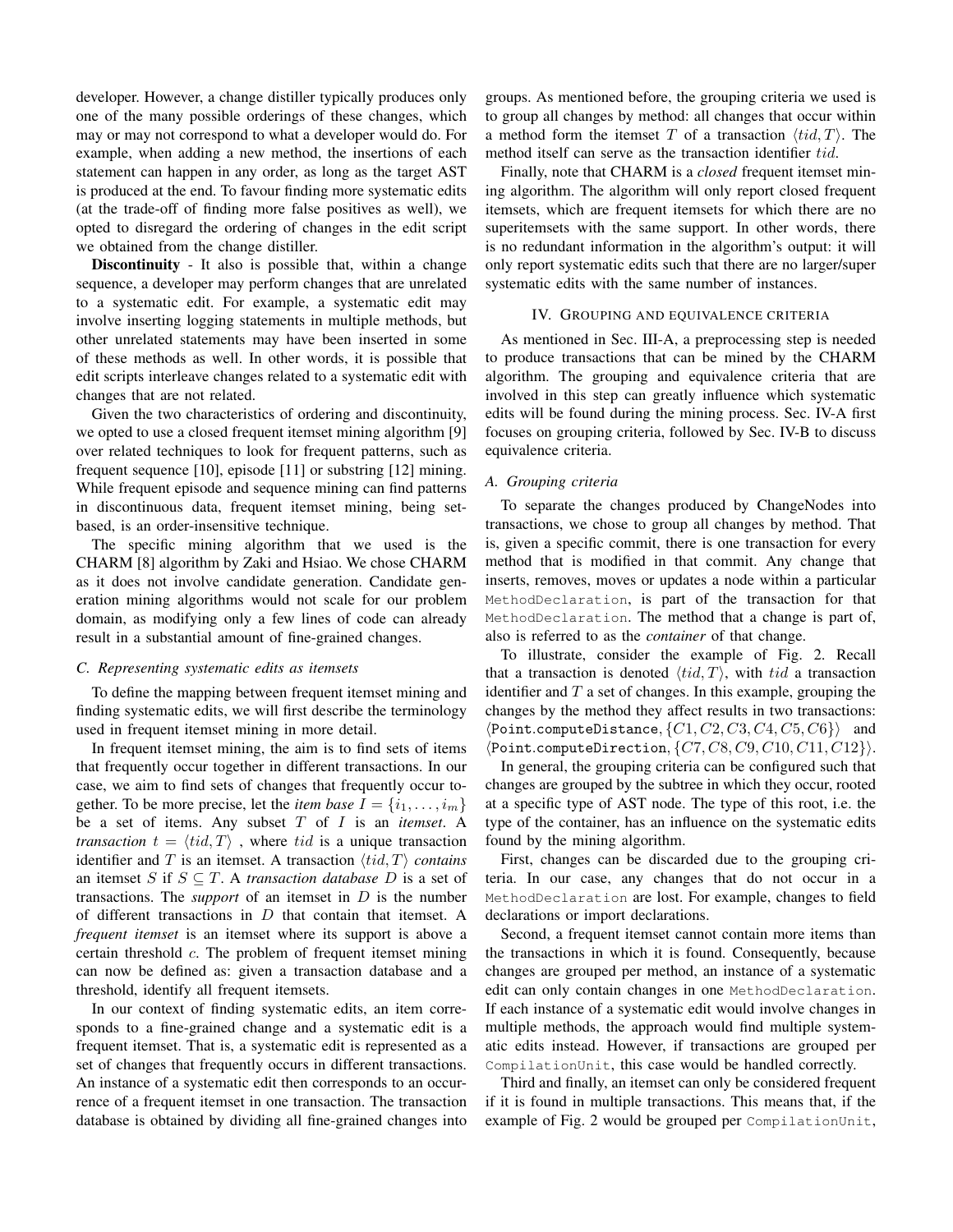developer. However, a change distiller typically produces only one of the many possible orderings of these changes, which may or may not correspond to what a developer would do. For example, when adding a new method, the insertions of each statement can happen in any order, as long as the target AST is produced at the end. To favour finding more systematic edits (at the trade-off of finding more false positives as well), we opted to disregard the ordering of changes in the edit script we obtained from the change distiller.

Discontinuity - It also is possible that, within a change sequence, a developer may perform changes that are unrelated to a systematic edit. For example, a systematic edit may involve inserting logging statements in multiple methods, but other unrelated statements may have been inserted in some of these methods as well. In other words, it is possible that edit scripts interleave changes related to a systematic edit with changes that are not related.

Given the two characteristics of ordering and discontinuity, we opted to use a closed frequent itemset mining algorithm [9] over related techniques to look for frequent patterns, such as frequent sequence [10], episode [11] or substring [12] mining. While frequent episode and sequence mining can find patterns in discontinuous data, frequent itemset mining, being setbased, is an order-insensitive technique.

The specific mining algorithm that we used is the CHARM [8] algorithm by Zaki and Hsiao. We chose CHARM as it does not involve candidate generation. Candidate generation mining algorithms would not scale for our problem domain, as modifying only a few lines of code can already result in a substantial amount of fine-grained changes.

#### *C. Representing systematic edits as itemsets*

To define the mapping between frequent itemset mining and finding systematic edits, we will first describe the terminology used in frequent itemset mining in more detail.

In frequent itemset mining, the aim is to find sets of items that frequently occur together in different transactions. In our case, we aim to find sets of changes that frequently occur together. To be more precise, let the *item base*  $I = \{i_1, \ldots, i_m\}$ be a set of items. Any subset T of I is an *itemset*. A *transaction*  $t = \langle tid, T \rangle$ , where tid is a unique transaction identifier and  $T$  is an itemset. A transaction  $\langle tid, T \rangle$  *contains* an itemset S if  $S \subseteq T$ . A *transaction database* D is a set of transactions. The *support* of an itemset in D is the number of different transactions in D that contain that itemset. A *frequent itemset* is an itemset where its support is above a certain threshold c. The problem of frequent itemset mining can now be defined as: given a transaction database and a threshold, identify all frequent itemsets.

In our context of finding systematic edits, an item corresponds to a fine-grained change and a systematic edit is a frequent itemset. That is, a systematic edit is represented as a set of changes that frequently occurs in different transactions. An instance of a systematic edit then corresponds to an occurrence of a frequent itemset in one transaction. The transaction database is obtained by dividing all fine-grained changes into groups. As mentioned before, the grouping criteria we used is to group all changes by method: all changes that occur within a method form the itemset T of a transaction  $\langle tid, T \rangle$ . The method itself can serve as the transaction identifier tid.

Finally, note that CHARM is a *closed* frequent itemset mining algorithm. The algorithm will only report closed frequent itemsets, which are frequent itemsets for which there are no superitemsets with the same support. In other words, there is no redundant information in the algorithm's output: it will only report systematic edits such that there are no larger/super systematic edits with the same number of instances.

# IV. GROUPING AND EQUIVALENCE CRITERIA

As mentioned in Sec. III-A, a preprocessing step is needed to produce transactions that can be mined by the CHARM algorithm. The grouping and equivalence criteria that are involved in this step can greatly influence which systematic edits will be found during the mining process. Sec. IV-A first focuses on grouping criteria, followed by Sec. IV-B to discuss equivalence criteria.

# *A. Grouping criteria*

To separate the changes produced by ChangeNodes into transactions, we chose to group all changes by method. That is, given a specific commit, there is one transaction for every method that is modified in that commit. Any change that inserts, removes, moves or updates a node within a particular MethodDeclaration, is part of the transaction for that MethodDeclaration. The method that a change is part of, also is referred to as the *container* of that change.

To illustrate, consider the example of Fig. 2. Recall that a transaction is denoted  $\langle tid, T \rangle$ , with tid a transaction identifier and  $T$  a set of changes. In this example, grouping the changes by the method they affect results in two transactions:  $\{Point.compileDistance, \{C1, C2, C3, C4, C5, C6\}\}\$ and  $\langle \text{Point.compileDirection}, \{C7, C8, C9, C10, C11, C12\}\rangle.$ 

In general, the grouping criteria can be configured such that changes are grouped by the subtree in which they occur, rooted at a specific type of AST node. The type of this root, i.e. the type of the container, has an influence on the systematic edits found by the mining algorithm.

First, changes can be discarded due to the grouping criteria. In our case, any changes that do not occur in a MethodDeclaration are lost. For example, changes to field declarations or import declarations.

Second, a frequent itemset cannot contain more items than the transactions in which it is found. Consequently, because changes are grouped per method, an instance of a systematic edit can only contain changes in one MethodDeclaration. If each instance of a systematic edit would involve changes in multiple methods, the approach would find multiple systematic edits instead. However, if transactions are grouped per CompilationUnit, this case would be handled correctly.

Third and finally, an itemset can only be considered frequent if it is found in multiple transactions. This means that, if the example of Fig. 2 would be grouped per CompilationUnit,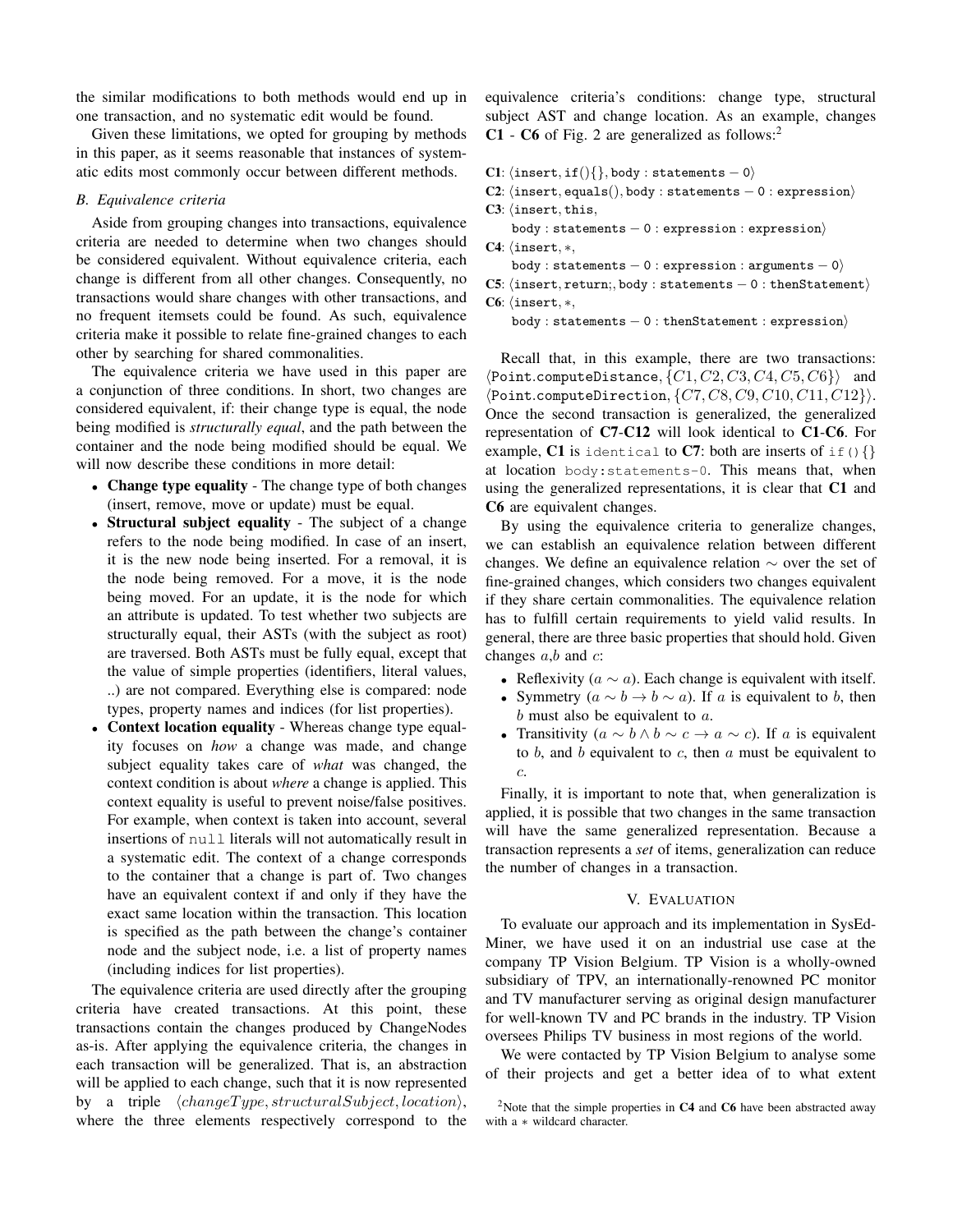the similar modifications to both methods would end up in one transaction, and no systematic edit would be found.

Given these limitations, we opted for grouping by methods in this paper, as it seems reasonable that instances of systematic edits most commonly occur between different methods.

#### *B. Equivalence criteria*

Aside from grouping changes into transactions, equivalence criteria are needed to determine when two changes should be considered equivalent. Without equivalence criteria, each change is different from all other changes. Consequently, no transactions would share changes with other transactions, and no frequent itemsets could be found. As such, equivalence criteria make it possible to relate fine-grained changes to each other by searching for shared commonalities.

The equivalence criteria we have used in this paper are a conjunction of three conditions. In short, two changes are considered equivalent, if: their change type is equal, the node being modified is *structurally equal*, and the path between the container and the node being modified should be equal. We will now describe these conditions in more detail:

- Change type equality The change type of both changes (insert, remove, move or update) must be equal.
- Structural subject equality The subject of a change refers to the node being modified. In case of an insert, it is the new node being inserted. For a removal, it is the node being removed. For a move, it is the node being moved. For an update, it is the node for which an attribute is updated. To test whether two subjects are structurally equal, their ASTs (with the subject as root) are traversed. Both ASTs must be fully equal, except that the value of simple properties (identifiers, literal values, ..) are not compared. Everything else is compared: node types, property names and indices (for list properties).
- Context location equality Whereas change type equality focuses on *how* a change was made, and change subject equality takes care of *what* was changed, the context condition is about *where* a change is applied. This context equality is useful to prevent noise/false positives. For example, when context is taken into account, several insertions of null literals will not automatically result in a systematic edit. The context of a change corresponds to the container that a change is part of. Two changes have an equivalent context if and only if they have the exact same location within the transaction. This location is specified as the path between the change's container node and the subject node, i.e. a list of property names (including indices for list properties).

The equivalence criteria are used directly after the grouping criteria have created transactions. At this point, these transactions contain the changes produced by ChangeNodes as-is. After applying the equivalence criteria, the changes in each transaction will be generalized. That is, an abstraction will be applied to each change, such that it is now represented by a triple  $\langle changeType, structuralSubject, location \rangle$ , where the three elements respectively correspond to the

equivalence criteria's conditions: change type, structural subject AST and change location. As an example, changes **C1** - C6 of Fig. 2 are generalized as follows:<sup>2</sup>

- C1:  $\langle \texttt{insert}, \texttt{if}() \{\}, \texttt{body} : \texttt{statements} 0 \rangle$
- C2:  $\langle$  insert, equals $($ ), body : statements 0 : expression $\rangle$

```
C3: (insert, this,
```
 $body: statements - 0: expression: expression$  $C4:$  (insert,  $*$ ,

```
body : statements -0 : expression : arguments -0)
```

```
C5: \langleinsert, return;, body : statements – 0 : thenStatement\rangle
```

```
C6: (insert, *,
```
 $body: statements - 0: thenStatement: expression$ 

Recall that, in this example, there are two transactions:  $\{Point.compileDistance, \{C1, C2, C3, C4, C5, C6\}\}\$ and  $\langle \text{Point.compileDirection}, \{C7, C8, C9, C10, C11, C12\}\rangle.$ Once the second transaction is generalized, the generalized representation of C7-C12 will look identical to C1-C6. For example, C1 is identical to C7: both are inserts of if(){} at location body:statements-0. This means that, when using the generalized representations, it is clear that C1 and C6 are equivalent changes.

By using the equivalence criteria to generalize changes, we can establish an equivalence relation between different changes. We define an equivalence relation ∼ over the set of fine-grained changes, which considers two changes equivalent if they share certain commonalities. The equivalence relation has to fulfill certain requirements to yield valid results. In general, there are three basic properties that should hold. Given changes  $a,b$  and  $c$ :

- Reflexivity ( $a \sim a$ ). Each change is equivalent with itself.
- Symmetry  $(a \sim b \to b \sim a)$ . If a is equivalent to b, then  $b$  must also be equivalent to  $a$ .
- Transitivity  $(a \sim b \land b \sim c \to a \sim c)$ . If a is equivalent to  $b$ , and  $b$  equivalent to  $c$ , then  $a$  must be equivalent to c.

Finally, it is important to note that, when generalization is applied, it is possible that two changes in the same transaction will have the same generalized representation. Because a transaction represents a *set* of items, generalization can reduce the number of changes in a transaction.

## V. EVALUATION

To evaluate our approach and its implementation in SysEd-Miner, we have used it on an industrial use case at the company TP Vision Belgium. TP Vision is a wholly-owned subsidiary of TPV, an internationally-renowned PC monitor and TV manufacturer serving as original design manufacturer for well-known TV and PC brands in the industry. TP Vision oversees Philips TV business in most regions of the world.

We were contacted by TP Vision Belgium to analyse some of their projects and get a better idea of to what extent

<sup>&</sup>lt;sup>2</sup>Note that the simple properties in  $C4$  and  $C6$  have been abstracted away with a ∗ wildcard character.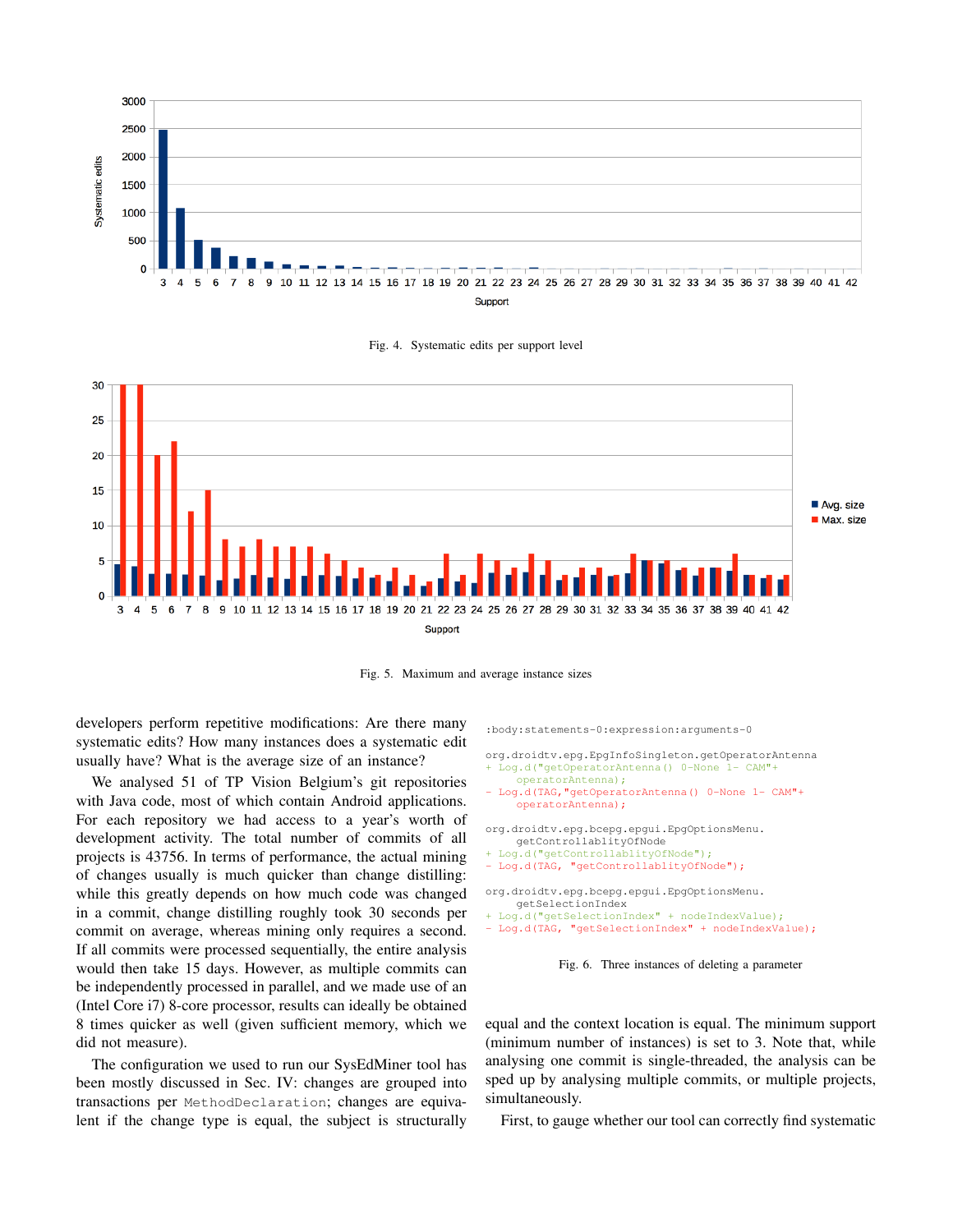

Fig. 4. Systematic edits per support level



Fig. 5. Maximum and average instance sizes

developers perform repetitive modifications: Are there many systematic edits? How many instances does a systematic edit usually have? What is the average size of an instance?

We analysed 51 of TP Vision Belgium's git repositories with Java code, most of which contain Android applications. For each repository we had access to a year's worth of development activity. The total number of commits of all projects is 43756. In terms of performance, the actual mining of changes usually is much quicker than change distilling: while this greatly depends on how much code was changed in a commit, change distilling roughly took 30 seconds per commit on average, whereas mining only requires a second. If all commits were processed sequentially, the entire analysis would then take 15 days. However, as multiple commits can be independently processed in parallel, and we made use of an (Intel Core i7) 8-core processor, results can ideally be obtained 8 times quicker as well (given sufficient memory, which we did not measure).

The configuration we used to run our SysEdMiner tool has been mostly discussed in Sec. IV: changes are grouped into transactions per MethodDeclaration; changes are equivalent if the change type is equal, the subject is structurally

:body:statements-0:expression:arguments-0

- org.droidtv.epg.EpgInfoSingleton.getOperatorAntenna + Log.d("getOperatorAntenna() 0-None 1- CAM"+ operatorAntenna);
- Log.d(TAG, "getOperatorAntenna() 0-None 1- CAM"+ operatorAntenna);

```
org.droidtv.epg.bcepg.epgui.EpgOptionsMenu.
    getControllablityOfNode
  + Log.d("getControllablityOfNode");
  - Log.d(TAG, "getControllablityOfNode");
org.droidtv.epg.bcepg.epgui.EpgOptionsMenu.
    getSelectionIndex
+ Log.d("getSelectionIndex" + nodeIndexValue);
```
- Log.d(TAG, "getSelectionIndex" + nodeIndexValue);

Fig. 6. Three instances of deleting a parameter

equal and the context location is equal. The minimum support (minimum number of instances) is set to 3. Note that, while analysing one commit is single-threaded, the analysis can be sped up by analysing multiple commits, or multiple projects, simultaneously.

First, to gauge whether our tool can correctly find systematic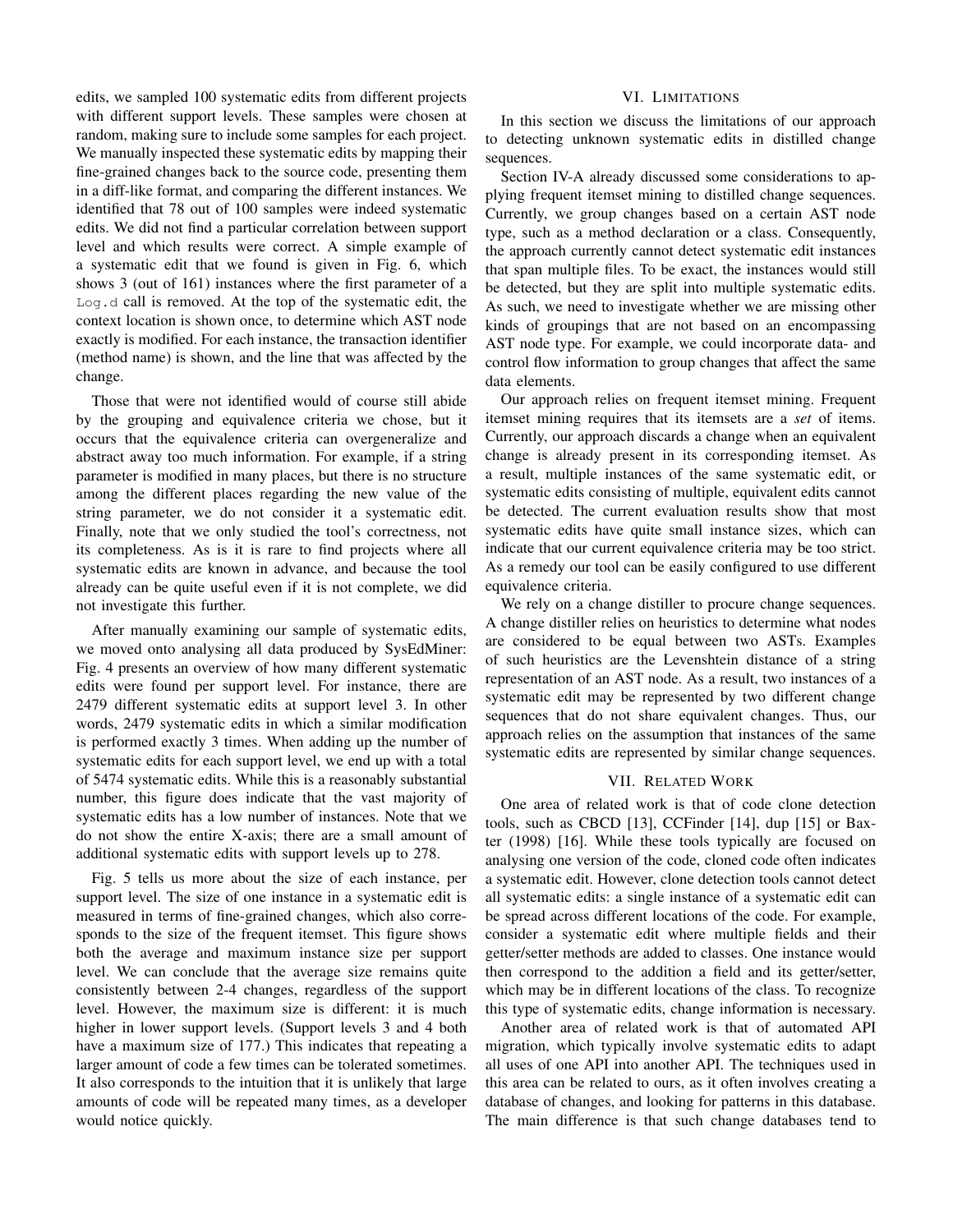edits, we sampled 100 systematic edits from different projects with different support levels. These samples were chosen at random, making sure to include some samples for each project. We manually inspected these systematic edits by mapping their fine-grained changes back to the source code, presenting them in a diff-like format, and comparing the different instances. We identified that 78 out of 100 samples were indeed systematic edits. We did not find a particular correlation between support level and which results were correct. A simple example of a systematic edit that we found is given in Fig. 6, which shows 3 (out of 161) instances where the first parameter of a Log.d call is removed. At the top of the systematic edit, the context location is shown once, to determine which AST node exactly is modified. For each instance, the transaction identifier (method name) is shown, and the line that was affected by the change.

Those that were not identified would of course still abide by the grouping and equivalence criteria we chose, but it occurs that the equivalence criteria can overgeneralize and abstract away too much information. For example, if a string parameter is modified in many places, but there is no structure among the different places regarding the new value of the string parameter, we do not consider it a systematic edit. Finally, note that we only studied the tool's correctness, not its completeness. As is it is rare to find projects where all systematic edits are known in advance, and because the tool already can be quite useful even if it is not complete, we did not investigate this further.

After manually examining our sample of systematic edits, we moved onto analysing all data produced by SysEdMiner: Fig. 4 presents an overview of how many different systematic edits were found per support level. For instance, there are 2479 different systematic edits at support level 3. In other words, 2479 systematic edits in which a similar modification is performed exactly 3 times. When adding up the number of systematic edits for each support level, we end up with a total of 5474 systematic edits. While this is a reasonably substantial number, this figure does indicate that the vast majority of systematic edits has a low number of instances. Note that we do not show the entire X-axis; there are a small amount of additional systematic edits with support levels up to 278.

Fig. 5 tells us more about the size of each instance, per support level. The size of one instance in a systematic edit is measured in terms of fine-grained changes, which also corresponds to the size of the frequent itemset. This figure shows both the average and maximum instance size per support level. We can conclude that the average size remains quite consistently between 2-4 changes, regardless of the support level. However, the maximum size is different: it is much higher in lower support levels. (Support levels 3 and 4 both have a maximum size of 177.) This indicates that repeating a larger amount of code a few times can be tolerated sometimes. It also corresponds to the intuition that it is unlikely that large amounts of code will be repeated many times, as a developer would notice quickly.

#### VI. LIMITATIONS

In this section we discuss the limitations of our approach to detecting unknown systematic edits in distilled change sequences.

Section IV-A already discussed some considerations to applying frequent itemset mining to distilled change sequences. Currently, we group changes based on a certain AST node type, such as a method declaration or a class. Consequently, the approach currently cannot detect systematic edit instances that span multiple files. To be exact, the instances would still be detected, but they are split into multiple systematic edits. As such, we need to investigate whether we are missing other kinds of groupings that are not based on an encompassing AST node type. For example, we could incorporate data- and control flow information to group changes that affect the same data elements.

Our approach relies on frequent itemset mining. Frequent itemset mining requires that its itemsets are a *set* of items. Currently, our approach discards a change when an equivalent change is already present in its corresponding itemset. As a result, multiple instances of the same systematic edit, or systematic edits consisting of multiple, equivalent edits cannot be detected. The current evaluation results show that most systematic edits have quite small instance sizes, which can indicate that our current equivalence criteria may be too strict. As a remedy our tool can be easily configured to use different equivalence criteria.

We rely on a change distiller to procure change sequences. A change distiller relies on heuristics to determine what nodes are considered to be equal between two ASTs. Examples of such heuristics are the Levenshtein distance of a string representation of an AST node. As a result, two instances of a systematic edit may be represented by two different change sequences that do not share equivalent changes. Thus, our approach relies on the assumption that instances of the same systematic edits are represented by similar change sequences.

#### VII. RELATED WORK

One area of related work is that of code clone detection tools, such as CBCD [13], CCFinder [14], dup [15] or Baxter (1998) [16]. While these tools typically are focused on analysing one version of the code, cloned code often indicates a systematic edit. However, clone detection tools cannot detect all systematic edits: a single instance of a systematic edit can be spread across different locations of the code. For example, consider a systematic edit where multiple fields and their getter/setter methods are added to classes. One instance would then correspond to the addition a field and its getter/setter, which may be in different locations of the class. To recognize this type of systematic edits, change information is necessary.

Another area of related work is that of automated API migration, which typically involve systematic edits to adapt all uses of one API into another API. The techniques used in this area can be related to ours, as it often involves creating a database of changes, and looking for patterns in this database. The main difference is that such change databases tend to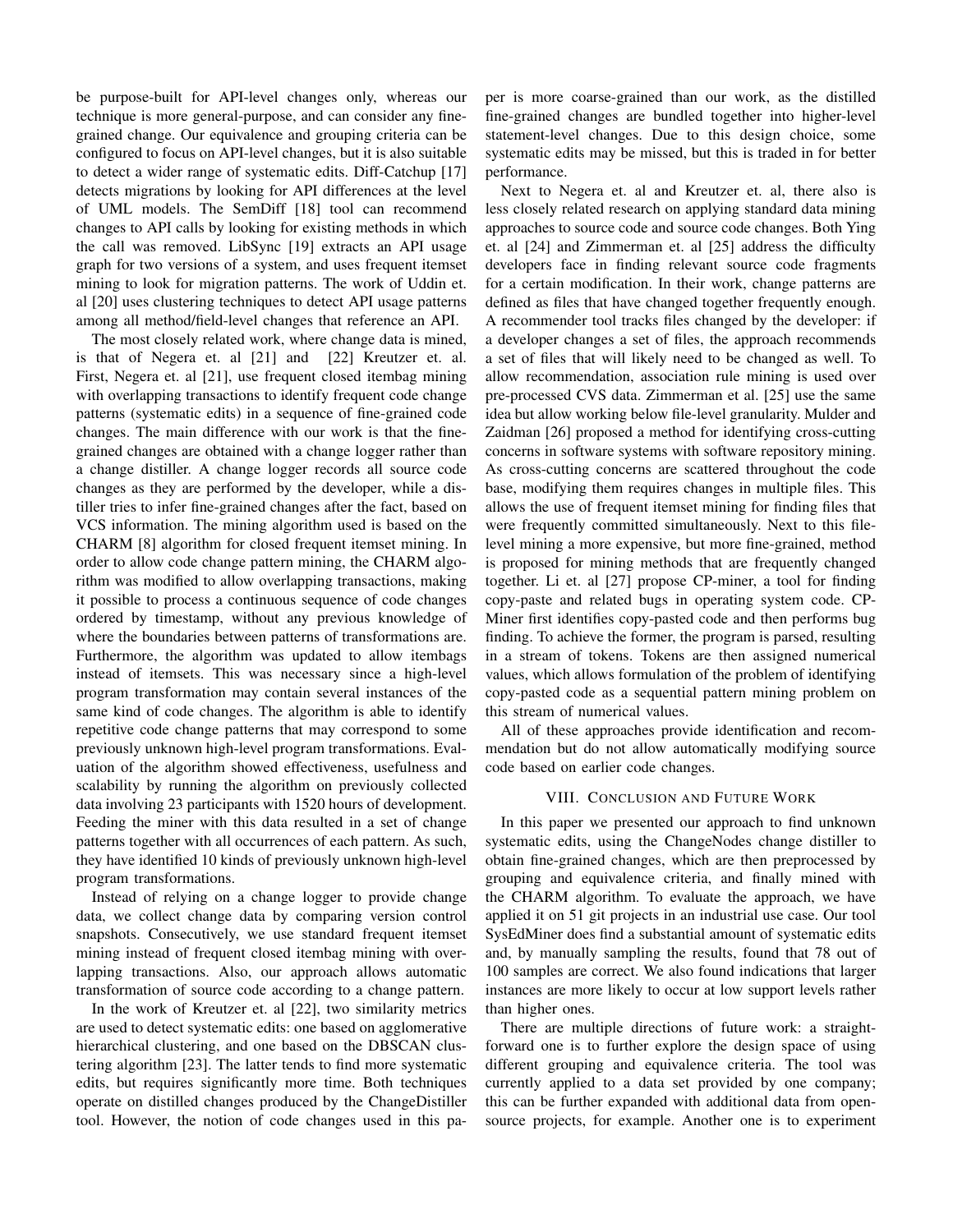be purpose-built for API-level changes only, whereas our technique is more general-purpose, and can consider any finegrained change. Our equivalence and grouping criteria can be configured to focus on API-level changes, but it is also suitable to detect a wider range of systematic edits. Diff-Catchup [17] detects migrations by looking for API differences at the level of UML models. The SemDiff [18] tool can recommend changes to API calls by looking for existing methods in which the call was removed. LibSync [19] extracts an API usage graph for two versions of a system, and uses frequent itemset mining to look for migration patterns. The work of Uddin et. al [20] uses clustering techniques to detect API usage patterns among all method/field-level changes that reference an API.

The most closely related work, where change data is mined, is that of Negera et. al [21] and [22] Kreutzer et. al. First, Negera et. al [21], use frequent closed itembag mining with overlapping transactions to identify frequent code change patterns (systematic edits) in a sequence of fine-grained code changes. The main difference with our work is that the finegrained changes are obtained with a change logger rather than a change distiller. A change logger records all source code changes as they are performed by the developer, while a distiller tries to infer fine-grained changes after the fact, based on VCS information. The mining algorithm used is based on the CHARM [8] algorithm for closed frequent itemset mining. In order to allow code change pattern mining, the CHARM algorithm was modified to allow overlapping transactions, making it possible to process a continuous sequence of code changes ordered by timestamp, without any previous knowledge of where the boundaries between patterns of transformations are. Furthermore, the algorithm was updated to allow itembags instead of itemsets. This was necessary since a high-level program transformation may contain several instances of the same kind of code changes. The algorithm is able to identify repetitive code change patterns that may correspond to some previously unknown high-level program transformations. Evaluation of the algorithm showed effectiveness, usefulness and scalability by running the algorithm on previously collected data involving 23 participants with 1520 hours of development. Feeding the miner with this data resulted in a set of change patterns together with all occurrences of each pattern. As such, they have identified 10 kinds of previously unknown high-level program transformations.

Instead of relying on a change logger to provide change data, we collect change data by comparing version control snapshots. Consecutively, we use standard frequent itemset mining instead of frequent closed itembag mining with overlapping transactions. Also, our approach allows automatic transformation of source code according to a change pattern.

In the work of Kreutzer et. al [22], two similarity metrics are used to detect systematic edits: one based on agglomerative hierarchical clustering, and one based on the DBSCAN clustering algorithm [23]. The latter tends to find more systematic edits, but requires significantly more time. Both techniques operate on distilled changes produced by the ChangeDistiller tool. However, the notion of code changes used in this paper is more coarse-grained than our work, as the distilled fine-grained changes are bundled together into higher-level statement-level changes. Due to this design choice, some systematic edits may be missed, but this is traded in for better performance.

Next to Negera et. al and Kreutzer et. al, there also is less closely related research on applying standard data mining approaches to source code and source code changes. Both Ying et. al [24] and Zimmerman et. al [25] address the difficulty developers face in finding relevant source code fragments for a certain modification. In their work, change patterns are defined as files that have changed together frequently enough. A recommender tool tracks files changed by the developer: if a developer changes a set of files, the approach recommends a set of files that will likely need to be changed as well. To allow recommendation, association rule mining is used over pre-processed CVS data. Zimmerman et al. [25] use the same idea but allow working below file-level granularity. Mulder and Zaidman [26] proposed a method for identifying cross-cutting concerns in software systems with software repository mining. As cross-cutting concerns are scattered throughout the code base, modifying them requires changes in multiple files. This allows the use of frequent itemset mining for finding files that were frequently committed simultaneously. Next to this filelevel mining a more expensive, but more fine-grained, method is proposed for mining methods that are frequently changed together. Li et. al [27] propose CP-miner, a tool for finding copy-paste and related bugs in operating system code. CP-Miner first identifies copy-pasted code and then performs bug finding. To achieve the former, the program is parsed, resulting in a stream of tokens. Tokens are then assigned numerical values, which allows formulation of the problem of identifying copy-pasted code as a sequential pattern mining problem on this stream of numerical values.

All of these approaches provide identification and recommendation but do not allow automatically modifying source code based on earlier code changes.

## VIII. CONCLUSION AND FUTURE WORK

In this paper we presented our approach to find unknown systematic edits, using the ChangeNodes change distiller to obtain fine-grained changes, which are then preprocessed by grouping and equivalence criteria, and finally mined with the CHARM algorithm. To evaluate the approach, we have applied it on 51 git projects in an industrial use case. Our tool SysEdMiner does find a substantial amount of systematic edits and, by manually sampling the results, found that 78 out of 100 samples are correct. We also found indications that larger instances are more likely to occur at low support levels rather than higher ones.

There are multiple directions of future work: a straightforward one is to further explore the design space of using different grouping and equivalence criteria. The tool was currently applied to a data set provided by one company; this can be further expanded with additional data from opensource projects, for example. Another one is to experiment